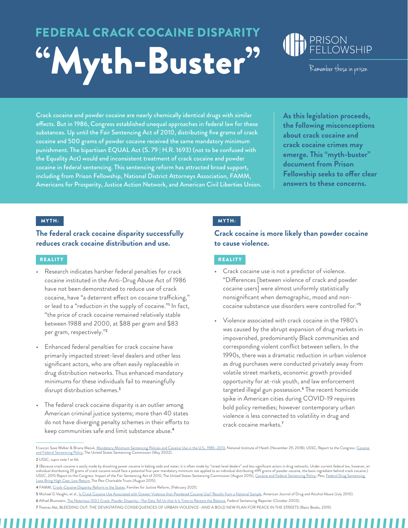# **FEDERAL CRACK COCAINE DISPARIT** "Myth-Buster" Remember those in prison



Crack cocaine and powder cocaine are nearly chemically identical drugs with similar effects. But in 1986, Congress established unequal approaches in federal law for these substances. Up until the Fair Sentencing Act of 2010, distributing five grams of crack cocaine and 500 grams of powder cocaine received the same mandatory minimum punishment. The bipartisan EQUAL Act (S. 79 | H.R. 1693) (not to be confused with the Equality Act) would end inconsistent treatment of crack cocaine and powder cocaine in federal sentencing. This sentencing reform has attracted broad support, including from Prison Fellowship, National District Attorneys Association, FAMM, Americans for Prosperity, Justice Action Network, and American Civil Liberties Union. **As this legislation proceeds, the following misconceptions about crack cocaine and crack cocaine crimes may emerge. This "myth-buster" document from Prison Fellowship seeks to offer clear answers to these concerns.** 

**The federal crack cocaine disparity successfully reduces crack cocaine distribution and use.** 

#### REALITY REALITY

- Research indicates harsher federal penalties for crack cocaine instituted in the Anti-Drug Abuse Act of 1986 have not been demonstrated to reduce use of crack cocaine, have "a deterrent effect on cocaine trafficking," or lead to a "reduction in the supply of cocaine."<sup>1</sup> In fact, "the price of crack cocaine remained relatively stable between 1988 and 2000, at \$88 per gram and \$83 per gram, respectively."**<sup>2</sup>**
- Enhanced federal penalties for crack cocaine have primarily impacted street-level dealers and other less significant actors, who are often easily replaceable in drug distribution networks. Thus enhanced mandatory minimums for these individuals fail to meaningfully disrupt distribution schemes.**<sup>3</sup>**
- The federal crack cocaine disparity is an outlier among American criminal justice systems; more than 40 states do not have diverging penalty schemes in their efforts to keep communities safe and limit substance abuse.**<sup>4</sup>**

## $MYTH:$  MYTH:

**Crack cocaine is more likely than powder cocaine to cause violence.**

- Crack cocaine use is not a predictor of violence. "Differences [between violence of crack and powder cocaine users] were almost uniformly statistically nonsignificant when demographic, mood and noncocaine substance use disorders were controlled for."**<sup>5</sup>**
- Violence associated with crack cocaine in the 1980's was caused by the abrupt expansion of drug markets in impoverished, predominantly Black communities and corresponding violent conflict between sellers. In the 1990s, there was a dramatic reduction in urban violence as drug purchases were conducted privately away from volatile street markets, economic growth provided opportunity for at-risk youth, and law enforcement targeted illegal gun possession.**<sup>6</sup>** The recent homicide spike in American cities during COVID-19 requires bold policy remedies; however contemporary urban violence is less connected to volatility in drug and crack cocaine markets.**<sup>7</sup>**

**2** USSC, supra note 1 at 66.

<sup>1</sup> Lauryn Saxe Walker & Briana Mezuk, <u>[Mandatory Minimum Sentencing Policies and Cocaine Use in the U.S., 1985–2013,](https://www.ncbi.nlm.nih.gov/pmc/articles/PMC6267913/)</u> National Institute of Heath (November 29, 2018); USSC, Report to the Congress: <u>Cocaine</u><br><u>and Federal Sen</u>

<sup>3 (</sup>Because crack cocaine is easily made by dissolving power cocaine in baking soda and water, it is often made by "street level dealers" and less significant actors in drug networks. Under current federal law, however, an individual distributing 29 grams of crack cocaine would face a potential five-year mandatory minimum not applied to an individual distributing 499 grams of powder cocaine, the basic ingredient behind crack cocaine.)<br>USSC,

**<sup>4</sup>** FAMM, [Crack-Cocaine Disparity Reform in the States](https://famm.org/wp-content/uploads/Crack-Disparity-in-the-States.pdf), Families for Justice Reform, (February 2021).

**<sup>5</sup>** Michael G Vaughn, et al., [Is Crack Cocaine Use Associated with Greater Violence than Powdered Cocaine Use? Results from a National Sample](https://pubmed.ncbi.nlm.nih.gov/20560836/), American Journal of Drug and Alcohol Abuse (July 2010). **6** Alfred Blumstein, [The Notorious 100:1 Crack: Powder Disparity—The Data Tell Us that It Is Time to Restore the Balance](http://graphics8.nytimes.com/images/blogs/freakonomics/pdf/BlumsteinFedSentencing.pdf), Federal Sentencing Reporter (October 2003).

**<sup>7</sup>** Thomas Abt, BLEEDING OUT: THE DEVASTATING CONSEQUENCES OF URBAN VIOLENCE—AND A BOLD NEW PLAN FOR PEACE IN THE STREETS (Basic Books, 2019).